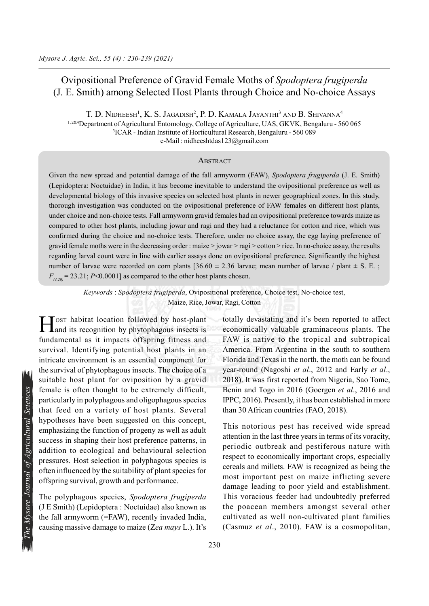# Ovipositional Preference of Gravid Female Moths of Spodoptera frugiperda (J. E. Smith) among Selected Host Plants through Choice and No-choice Assays

T. D. Nidheesh<sup>1</sup>, K. S. Jagadish<sup>2</sup>, P. D. Kamala Jayanthi<sup>3</sup> and B. Shivanna<sup>4</sup> 1, 2&4 Department of Agricultural Entomology, College of Agriculture, UAS, GKVK, Bengaluru - 560 065 3 ICAR - Indian Institute of Horticultural Research, Bengaluru - 560 089 e-Mail : nidheeshtdas123@gmail.com

### **ABSTRACT**

Given the new spread and potential damage of the fall armyworm (FAW), Spodoptera frugiperda (J. E. Smith) (Lepidoptera: Noctuidae) in India, it has become inevitable to understand the ovipositional preference as well as developmental biology of this invasive species on selected host plants in newer geographical zones. In this study, thorough investigation was conducted on the ovipositional preference of FAW females on different host plants, under choice and non-choice tests. Fall armyworm gravid females had an ovipositional preference towards maize as compared to other host plants, including jowar and ragi and they had a reluctance for cotton and rice, which was confirmed during the choice and no-choice tests. Therefore, under no choice assay, the egg laying preference of gravid female moths were in the decreasing order : maize > jowar > ragi > cotton > rice. In no-choice assay, the results regarding larval count were in line with earlier assays done on ovipositional preference. Significantly the highest number of larvae were recorded on corn plants  $[36.60 \pm 2.36]$  larvae; mean number of larvae / plant  $\pm$  S. E.;  $F_{(4,20)}$  = 23.21; P<0.0001] as compared to the other host plants chosen.

Keywords : Spodoptera frugiperda, Ovipositional preference, Choice test, No-choice test, Maize, Rice, Jowar, Ragi, Cotton

Example is often thought to be extremely difficult,<br>particularly in polyphagous and oligophagous species<br>that feed on a variety of host plants. Several<br>hypotheses have been suggested on this concept,<br>emphasizing the funct Host habitat location followed by host-plant<br>and its recognition by phytophagous insects is Land its recognition by phytophagous insects is fundamental as it impacts offspring fitness and survival. Identifying potential host plants in an intricate environment is an essential component for the survival of phytophagous insects. The choice of a suitable host plant for oviposition by a gravid female is often thought to be extremely difficult, particularly in polyphagous and oligophagous species that feed on a variety of host plants. Several hypotheses have been suggested on this concept, emphasizing the function of progeny as well as adult success in shaping their host preference patterns, in addition to ecological and behavioural selection pressures. Host selection in polyphagous species is often influenced by the suitability of plant species for offspring survival, growth and performance.

The polyphagous species, Spodoptera frugiperda (J E Smith) (Lepidoptera : Noctuidae) also known as the fall armyworm (=FAW), recently invaded India, causing massive damage to maize (Zea mays L.). It's

totally devastating and it's been reported to affect economically valuable graminaceous plants. The FAW is native to the tropical and subtropical America. From Argentina in the south to southern Florida and Texas in the north, the moth can be found year-round (Nagoshi et al., 2012 and Early et al., 2018). It was first reported from Nigeria, Sao Tome, Benin and Togo in 2016 (Goergen et al., 2016 and IPPC, 2016). Presently, it has been established in more than 30 African countries (FAO, 2018).

This notorious pest has received wide spread attention in the last three years in terms of its voracity, periodic outbreak and pestiferous nature with respect to economically important crops, especially cereals and millets. FAW is recognized as being the most important pest on maize inflicting severe damage leading to poor yield and establishment. This voracious feeder had undoubtedly preferred the poacean members amongst several other cultivated as well non-cultivated plant families (Casmuz et al., 2010). FAW is a cosmopolitan,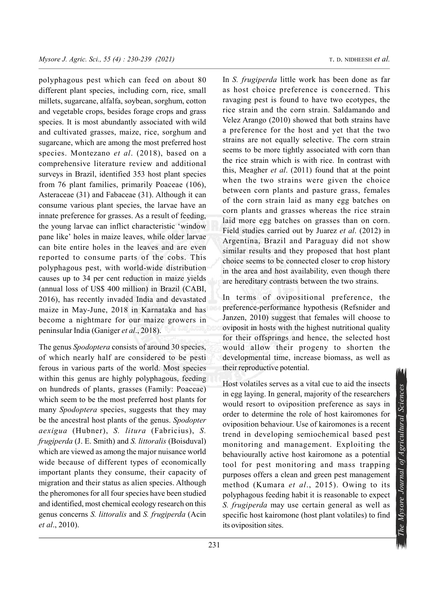polyphagous pest which can feed on about 80 different plant species, including corn, rice, small millets, sugarcane, alfalfa, soybean, sorghum, cotton and vegetable crops, besides forage crops and grass species. It is most abundantly associated with wild and cultivated grasses, maize, rice, sorghum and sugarcane, which are among the most preferred host species. Montezano et al. (2018), based on a comprehensive literature review and additional surveys in Brazil, identified 353 host plant species from 76 plant families, primarily Poaceae (106), Asteraceae (31) and Fabaceae (31). Although it can consume various plant species, the larvae have an innate preference for grasses. As a result of feeding, the young larvae can inflict characteristic 'window pane like' holes in maize leaves, while older larvae can bite entire holes in the leaves and are even reported to consume parts of the cobs. This polyphagous pest, with world-wide distribution causes up to 34 per cent reduction in maize yields (annual loss of US\$ 400 million) in Brazil (CABI, 2016), has recently invaded India and devastated maize in May-June, 2018 in Karnataka and has become a nightmare for our maize growers in peninsular India (Ganiger et al., 2018).

The genus *Spodoptera* consists of around 30 species, of which nearly half are considered to be pesti ferous in various parts of the world. Most species within this genus are highly polyphagous, feeding on hundreds of plants, grasses (Family: Poaceae) which seem to be the most preferred host plants for many *Spodoptera* species, suggests that they may be the ancestral host plants of the genus. Spodopter aexigua (Hubner), S. litura (Fabricius), S. frugiperda (J. E. Smith) and S. littoralis (Boisduval) which are viewed as among the major nuisance world wide because of different types of economically important plants they consume, their capacity of migration and their status as alien species. Although the pheromones for all four species have been studied and identified, most chemical ecology research on this genus concerns S. littoralis and S. frugiperda (Acin et al., 2010).

In S. frugiperda little work has been done as far as host choice preference is concerned. This ravaging pest is found to have two ecotypes, the rice strain and the corn strain. Saldamando and Velez Arango (2010) showed that both strains have a preference for the host and yet that the two strains are not equally selective. The corn strain seems to be more tightly associated with corn than the rice strain which is with rice. In contrast with this, Meagher et al. (2011) found that at the point when the two strains were given the choice between corn plants and pasture grass, females of the corn strain laid as many egg batches on corn plants and grasses whereas the rice strain laid more egg batches on grasses than on corn. Field studies carried out by Juarez et al. (2012) in Argentina, Brazil and Paraguay did not show similar results and they proposed that host plant

In terms of ovipositional preference, the preference-performance hypothesis (Refsnider and Janzen, 2010) suggest that females will choose to oviposit in hosts with the highest nutritional quality for their offsprings and hence, the selected host would allow their progeny to shorten the developmental time, increase biomass, as well as their reproductive potential.

choice seems to be connected closer to crop history in the area and host availability, even though there are hereditary contrasts between the two strains.

Thus volatines serves as a vital cue to and the insects<br>in egg laying. In general, majority of the researchers<br>would resort to oviposition preference as says in<br>order to determine the role of host kairomones for<br>ovipositi Host volatiles serves as a vital cue to aid the insects in egg laying. In general, majority of the researchers would resort to oviposition preference as says in order to determine the role of host kairomones for oviposition behaviour. Use of kairomones is a recent trend in developing semiochemical based pest monitoring and management. Exploiting the behaviourally active host kairomone as a potential tool for pest monitoring and mass trapping purposes offers a clean and green pest management method (Kumara et al., 2015). Owing to its polyphagous feeding habit it is reasonable to expect S. frugiperda may use certain general as well as specific host kairomone (host plant volatiles) to find its oviposition sites.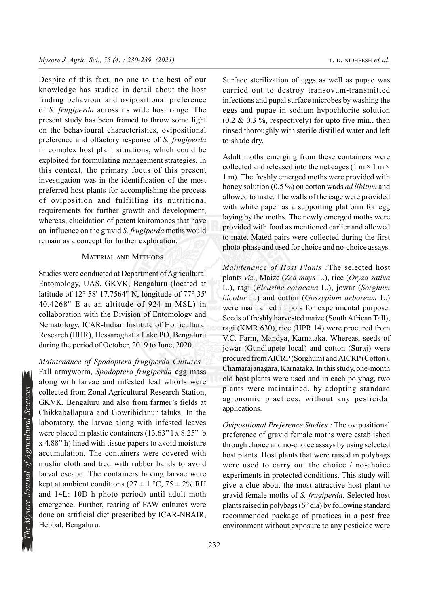Despite of this fact, no one to the best of our knowledge has studied in detail about the host finding behaviour and ovipositional preference of S. frugiperda across its wide host range. The present study has been framed to throw some light on the behavioural characteristics, ovipositional preference and olfactory response of S. frugiperda in complex host plant situations, which could be exploited for formulating management strategies. In this context, the primary focus of this present investigation was in the identification of the most preferred host plants for accomplishing the process of oviposition and fulfilling its nutritional requirements for further growth and development, whereas, elucidation of potent kairomones that have an influence on the gravid  $S$ . *frugiperda* moths would remain as a concept for further exploration.

## MATERIAL AND METHODS

Studies were conducted at Department of Agricultural Entomology, UAS, GKVK, Bengaluru (located at latitude of 12° 58' 17.7564" N, longitude of 77° 35' 40.4268" E at an altitude of 924 m MSL) in collaboration with the Division of Entomology and Nematology, ICAR-Indian Institute of Horticultural Research (IIHR), Hessaraghatta Lake PO, Bengaluru during the period of October, 2019 to June, 2020.

collected from Zonal Agricultural Research Station,<br>
GKVK, Bengaluru and also from farmer's fields at<br>
Chikkaballapura and Gowribidanur taluks. In the<br>
laboratory, the larvae along with infested leaves<br>
were placed in pla Maintenance of Spodoptera frugiperda Cultures : Fall armyworm, Spodoptera frugiperda egg mass along with larvae and infested leaf whorls were collected from Zonal Agricultural Research Station, GKVK, Bengaluru and also from farmer's fields at Chikkaballapura and Gowribidanur taluks. In the laboratory, the larvae along with infested leaves were placed in plastic containers (13.63" l x 8.25" b x 4.88" h) lined with tissue papers to avoid moisture accumulation. The containers were covered with muslin cloth and tied with rubber bands to avoid larval escape. The containers having larvae were kept at ambient conditions ( $27 \pm 1$  °C,  $75 \pm 2\%$  RH and 14L: 10D h photo period) until adult moth emergence. Further, rearing of FAW cultures were done on artificial diet prescribed by ICAR-NBAIR, Hebbal, Bengaluru.

Surface sterilization of eggs as well as pupae was carried out to destroy transovum-transmitted infections and pupal surface microbes by washing the eggs and pupae in sodium hypochlorite solution  $(0.2 \& 0.3 \%$ , respectively) for upto five min., then rinsed thoroughly with sterile distilled water and left to shade dry.

Adult moths emerging from these containers were collected and released into the net cages (1 m  $\times$  1 m  $\times$ 1 m). The freshly emerged moths were provided with honey solution (0.5 %) on cotton wads *ad libitum* and allowed to mate. The walls of the cage were provided with white paper as a supporting platform for egg laying by the moths. The newly emerged moths were provided with food as mentioned earlier and allowed to mate. Mated pairs were collected during the first photo-phase and used for choice and no-choice assays.

Maintenance of Host Plants :The selected host plants viz., Maize (Zea mays L.), rice (Oryza sativa L.), ragi (Eleusine coracana L.), jowar (Sorghum bicolor L.) and cotton (Gossypium arboreum L.) were maintained in pots for experimental purpose. Seeds of freshly harvested maize (South African Tall), ragi (KMR 630), rice (HPR 14) were procured from V.C. Farm, Mandya, Karnataka. Whereas, seeds of jowar (Gundlupete local) and cotton (Suraj) were procured from AICRP (Sorghum) and AICRP (Cotton), Chamarajanagara, Karnataka. In this study, one-month old host plants were used and in each polybag, two plants were maintained, by adopting standard agronomic practices, without any pesticidal applications.

Ovipositional Preference Studies : The ovipositional preference of gravid female moths were established through choice and no-choice assays by using selected host plants. Host plants that were raised in polybags were used to carry out the choice / no-choice experiments in protected conditions. This study will give a clue about the most attractive host plant to gravid female moths of S. frugiperda. Selected host plants raised in polybags (6" dia) by following standard recommended package of practices in a pest free environment without exposure to any pesticide were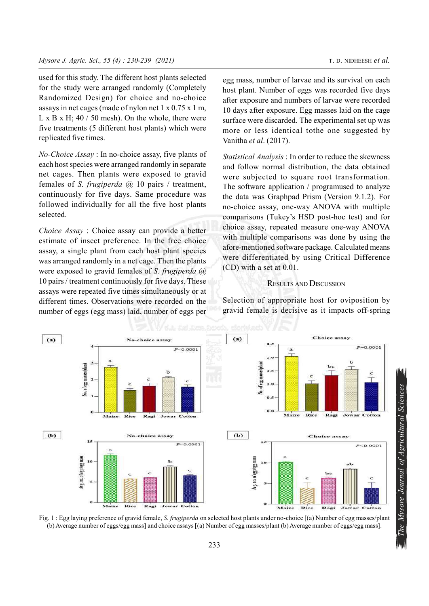used for this study. The different host plants selected for the study were arranged randomly (Completely Randomized Design) for choice and no-choice assays in net cages (made of nylon net 1 x 0.75 x 1 m, L x B x H;  $40/50$  mesh). On the whole, there were five treatments (5 different host plants) which were replicated five times.

No-Choice Assay : In no-choice assay, five plants of each host species were arranged randomly in separate net cages. Then plants were exposed to gravid females of S. frugiperda  $(2)$  10 pairs / treatment, continuously for five days. Same procedure was followed individually for all the five host plants selected.

Choice Assay : Choice assay can provide a better estimate of insect preference. In the free choice assay, a single plant from each host plant species was arranged randomly in a net cage. Then the plants were exposed to gravid females of S. frugiperda @ 10 pairs / treatment continuously for five days. These assays were repeated five times simultaneously or at different times. Observations were recorded on the number of eggs (egg mass) laid, number of eggs per

egg mass, number of larvae and its survival on each host plant. Number of eggs was recorded five days after exposure and numbers of larvae were recorded 10 days after exposure. Egg masses laid on the cage surface were discarded. The experimental set up was more or less identical tothe one suggested by Vanitha et al. (2017).

Statistical Analysis : In order to reduce the skewness and follow normal distribution, the data obtained were subjected to square root transformation. The software application / programused to analyze the data was Graphpad Prism (Version 9.1.2). For no-choice assay, one-way ANOVA with multiple comparisons (Tukey's HSD post-hoc test) and for choice assay, repeated measure one-way ANOVA with multiple comparisons was done by using the afore-mentioned software package. Calculated means were differentiated by using Critical Difference (CD) with a set at 0.01.

### RESULTS AND DISCUSSION

Selection of appropriate host for oviposition by gravid female is decisive as it impacts off-spring



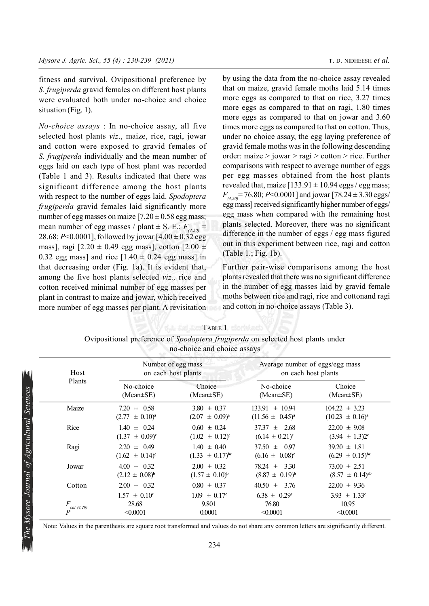fitness and survival. Ovipositional preference by S. frugiperda gravid females on different host plants were evaluated both under no-choice and choice situation (Fig. 1).

No-choice assays : In no-choice assay, all five selected host plants viz., maize, rice, ragi, jowar and cotton were exposed to gravid females of S. frugiperda individually and the mean number of eggs laid on each type of host plant was recorded (Table 1 and 3). Results indicated that there was significant difference among the host plants with respect to the number of eggs laid. Spodoptera frugiperda gravid females laid significantly more number of egg masses on maize  $[7.20 \pm 0.58]$  egg mass; mean number of egg masses / plant  $\pm$  S. E.;  $F_{(4,20)}$  = 28.68; P<0.0001], followed by jowar  $[4.00 \pm 0.32$  egg mass], ragi  $[2.20 \pm 0.49$  egg mass], cotton  $[2.00 \pm 0.49]$ 0.32 egg mass] and rice  $[1.40 \pm 0.24$  egg mass] in that decreasing order (Fig. 1a). It is evident that, among the five host plants selected viz., rice and cotton received minimal number of egg masses per plant in contrast to maize and jowar, which received more number of egg masses per plant. A revisitation

by using the data from the no-choice assay revealed that on maize, gravid female moths laid 5.14 times more eggs as compared to that on rice, 3.27 times more eggs as compared to that on ragi, 1.80 times more eggs as compared to that on jowar and 3.60 times more eggs as compared to that on cotton. Thus, under no choice assay, the egg laying preference of gravid female moths was in the following descending order: maize > jowar > ragi > cotton > rice. Further comparisons with respect to average number of eggs per egg masses obtained from the host plants revealed that, maize  $[133.91 \pm 10.94$  eggs / egg mass;  $F_{(4,20)}$  = 76.80; P<0.0001] and jowar [78.24 ± 3.30 eggs/ egg mass] received significantly higher number of eggs/ egg mass when compared with the remaining host plants selected. Moreover, there was no significant difference in the number of eggs / egg mass figured out in this experiment between rice, ragi and cotton (Table 1.; Fig. 1b).

Further pair-wise comparisons among the host plants revealed that there was no significant difference in the number of egg masses laid by gravid female moths between rice and ragi, rice and cottonand ragi and cotton in no-choice assays (Table 3).

| Host             |                                                           | Number of egg mass<br>on each host plants | Average number of eggs/egg mass<br>on each host plants |                           |  |
|------------------|-----------------------------------------------------------|-------------------------------------------|--------------------------------------------------------|---------------------------|--|
| Plants           | Choice<br>No-choice<br>$(Mean \pm SE)$<br>$(Mean \pm SE)$ |                                           | No-choice<br>$(Mean \pm SE)$                           | Choice<br>$(Mean \pm SE)$ |  |
| Maize            | $7.20 \pm 0.58$                                           | $3.80 \pm 0.37$                           | $133.91 \pm 10.94$                                     | $104.22 \pm 3.23$         |  |
|                  | $(2.77 \pm 0.10)^a$                                       | $(2.07 \pm 0.09)^a$                       | $(11.56 \pm 0.45)^{a}$                                 | $(10.23 \pm 0.16)^a$      |  |
| Rice             | $1.40 \pm 0.24$                                           | $0.60 \pm 0.24$                           | $37.37 \pm 2.68$                                       | $22.00 \pm 9.08$          |  |
|                  | $(1.37 \pm 0.09)^{\circ}$                                 | $(1.02 \pm 0.12)^c$                       | $(6.14 \pm 0.21)^c$                                    | $(3.94 \pm 1.3)2^{\circ}$ |  |
| Ragi             | $2.20 \pm 0.49$                                           | $1.40 \pm 0.40$                           | $37.50 \pm 0.97$                                       | $39.20 \pm 1.81$          |  |
|                  | $(1.62 \pm 0.14)^c$                                       | $(1.33 \pm 0.17)^{bc}$                    | $(6.16 \pm 0.08)^c$                                    | $(6.29 \pm 0.15)^{bc}$    |  |
| Jowar            | $4.00 \pm 0.32$                                           | $2.00 \pm 0.32$                           | $78.24 \pm 3.30$                                       | $73.00 \pm 2.51$          |  |
|                  | $(2.12 \pm 0.08)^{b}$                                     | $(1.57 \pm 0.10)^{b}$                     | $(8.87 \pm 0.19)^{b}$                                  | $(8.57 \pm 0.14)^{ab}$    |  |
| Cotton           | $2.00 \pm 0.32$                                           | $0.80 \pm 0.37$                           | $40.50 \pm 3.76$                                       | $22.00 \pm 9.36$          |  |
|                  | $1.57 \pm 0.10^c$                                         | $1.09 \pm 0.17$ <sup>c</sup>              | $6.38 \pm 0.29^{\circ}$                                | $3.93 \pm 1.33^c$         |  |
| cal (4,20)       | 28.68                                                     | 9.801                                     | 76.80                                                  | 10.95                     |  |
| $\boldsymbol{P}$ | < 0.0001                                                  | 0.0001                                    | < 0.0001                                               | < 0.0001                  |  |

Ovipositional preference of Spodoptera frugiperda on selected host plants under

**TABLE 1 Experience**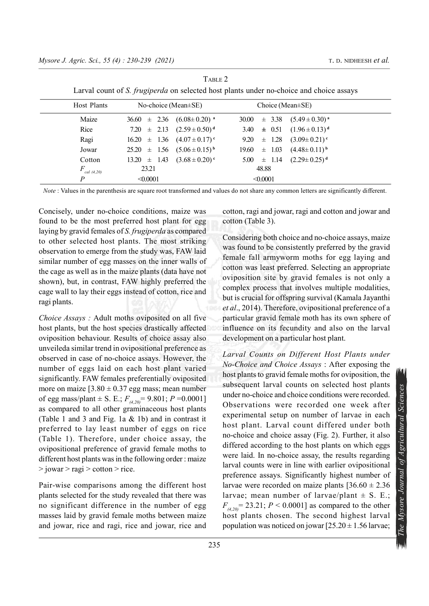|                   | - 01                                           |                        |                                |
|-------------------|------------------------------------------------|------------------------|--------------------------------|
| Host Plants       | No-choice (Mean $\pm$ SE)                      | Choice (Mean $\pm$ SE) |                                |
| Maize             | $36.60 \pm 2.36$ $(6.08 \pm 0.20)^{a}$         | $\pm$ 3.38<br>30.00    | $(5.49 \pm 0.30)^{a}$          |
| Rice              | 7.20 $\pm$ 2.13 $(2.59 \pm 0.50)^d$            | $\pm$ 0.51<br>3.40     | $(1.96 \pm 0.13)^d$            |
| Ragi              | $16.20 \pm 1.36 \quad (4.07 \pm 0.17)^{\circ}$ | $\pm$ 1.28<br>9.20     | $(3.09 \pm 0.21)$ <sup>c</sup> |
| Jowar             | $25.20 \pm 1.56 \quad (5.06 \pm 0.15)^{b}$     | $\pm$ 1.03<br>19.60    | $(4.48\pm0.11)^{b}$            |
| Cotton            | $13.20 \pm 1.43 \quad (3.68 \pm 0.20)^{\circ}$ | $5.00 \pm 1.14$        | $(2.29 \pm 0.25)^{d}$          |
| F<br>cal $(4,20)$ | 23.21                                          | 48.88                  |                                |
| P                 | $\leq 0.0001$                                  | < 0.0001               |                                |

TABLE 2 Larval count of S. *frugiperda* on selected host plants under no-choice and choice assays

Note : Values in the parenthesis are square root transformed and values do not share any common letters are significantly different.

Concisely, under no-choice conditions, maize was found to be the most preferred host plant for egg laying by gravid females of S. frugiperda as compared to other selected host plants. The most striking observation to emerge from the study was, FAW laid similar number of egg masses on the inner walls of the cage as well as in the maize plants (data have not shown), but, in contrast, FAW highly preferred the cage wall to lay their eggs instead of cotton, rice and ragi plants.

Choice Assays : Adult moths oviposited on all five host plants, but the host species drastically affected oviposition behaviour. Results of choice assay also unveileda similar trend in ovipositional preference as observed in case of no-choice assays. However, the number of eggs laid on each host plant varied significantly. FAW females preferentially oviposited more on maize  $[3.80 \pm 0.37$  egg mass; mean number of egg mass/plant  $\pm$  S. E.;  $F_{(4,20)} = 9.801$ ;  $P = 0.0001$ ] as compared to all other graminaceous host plants (Table 1 and 3 and Fig. 1a & 1b) and in contrast it preferred to lay least number of eggs on rice (Table 1). Therefore, under choice assay, the ovipositional preference of gravid female moths to different host plants was in the following order : maize  $>$ jowar  $>$  ragi  $>$  cotton  $>$  rice.

Pair-wise comparisons among the different host plants selected for the study revealed that there was no significant difference in the number of egg masses laid by gravid female moths between maize and jowar, rice and ragi, rice and jowar, rice and cotton, ragi and jowar, ragi and cotton and jowar and cotton (Table 3).

Considering both choice and no-choice assays, maize was found to be consistently preferred by the gravid female fall armyworm moths for egg laying and cotton was least preferred. Selecting an appropriate oviposition site by gravid females is not only a complex process that involves multiple modalities, but is crucial for offspring survival (Kamala Jayanthi et al., 2014). Therefore, ovipositional preference of a particular gravid female moth has its own sphere of influence on its fecundity and also on the larval development on a particular host plant.

subsequent rarvar counts on selected nost prants<br>
under no-choice and choice conditions were recorded.<br>
Observations were recorded one week after<br>
experimental setup on number of larvae in each<br>
host plant. Larval count d Larval Counts on Different Host Plants under No-Choice and Choice Assays : After exposing the host plants to gravid female moths for oviposition, the subsequent larval counts on selected host plants under no-choice and choice conditions were recorded. Observations were recorded one week after experimental setup on number of larvae in each host plant. Larval count differed under both no-choice and choice assay (Fig. 2). Further, it also differed according to the host plants on which eggs were laid. In no-choice assay, the results regarding larval counts were in line with earlier ovipositional preference assays. Significantly highest number of larvae were recorded on maize plants  $[36.60 \pm 2.36]$ larvae; mean number of larvae/plant  $\pm$  S. E.;  $F_{(4,20)} = 23.21$ ;  $P < 0.0001$ ] as compared to the other host plants chosen. The second highest larval population was noticed on jowar  $[25.20 \pm 1.56]$  larvae;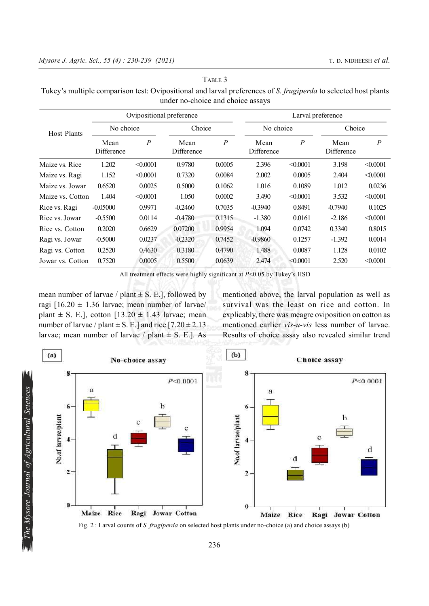| Host Plants      | Ovipositional preference |                  |                    |                  | Larval preference  |                  |                    |                  |
|------------------|--------------------------|------------------|--------------------|------------------|--------------------|------------------|--------------------|------------------|
|                  | No choice                |                  | Choice             |                  | No choice          |                  | Choice             |                  |
|                  | Mean<br>Difference       | $\boldsymbol{P}$ | Mean<br>Difference | $\boldsymbol{P}$ | Mean<br>Difference | $\boldsymbol{P}$ | Mean<br>Difference | $\boldsymbol{P}$ |
| Maize vs. Rice   | 1.202                    | < 0.0001         | 0.9780             | 0.0005           | 2.396              | < 0.0001         | 3.198              | $\leq 0.0001$    |
| Maize vs. Ragi   | 1.152                    | $\leq 0.0001$    | 0.7320             | 0.0084           | 2.002              | 0.0005           | 2.404              | $\leq 0.0001$    |
| Maize vs. Jowar  | 0.6520                   | 0.0025           | 0.5000             | 0.1062           | 1.016              | 0.1089           | 1.012              | 0.0236           |
| Maize vs. Cotton | 1.404                    | < 0.0001         | 1.050              | 0.0002           | 3.490              | < 0.0001         | 3.532              | $\leq 0.0001$    |
| Rice vs. Ragi    | $-0.05000$               | 0.9971           | $-0.2460$          | 0.7035           | $-0.3940$          | 0.8491           | $-0.7940$          | 0.1025           |
| Rice vs. Jowar   | $-0.5500$                | 0.0114           | $-0.4780$          | 0.1315           | $-1.380$           | 0.0161           | $-2.186$           | $\leq 0.0001$    |
| Rice vs. Cotton  | 0.2020                   | 0.6629           | 0.07200            | 0.9954           | 1.094              | 0.0742           | 0.3340             | 0.8015           |
| Ragi vs. Jowar   | $-0.5000$                | 0.0237           | $-0.2320$          | 0.7452           | $-0.9860$          | 0.1257           | $-1.392$           | 0.0014           |
| Ragi vs. Cotton  | 0.2520                   | 0.4630           | 0.3180             | 0.4790           | 1.488              | 0.0087           | 1.128              | 0.0102           |
| Jowar vs. Cotton | 0.7520                   | 0.0005           | 0.5500             | 0.0639           | 2.474              | $\leq 0.0001$    | 2.520              | $\leq 0.0001$    |

#### TABLE 3

Tukey's multiple comparison test: Ovipositional and larval preferences of S. frugiperda to selected host plants under no-choice and choice assays

All treatment effects were highly significant at  $P<0.05$  by Tukey's HSD

mean number of larvae / plant  $\pm$  S. E.], followed by ragi  $[16.20 \pm 1.36]$  larvae; mean number of larvae/ plant  $\pm$  S. E.], cotton [13.20  $\pm$  1.43 larvae; mean number of larvae / plant  $\pm$  S. E.] and rice [7.20  $\pm$  2.13 larvae; mean number of larvae / plant  $\pm$  S. E.]. As

mentioned above, the larval population as well as survival was the least on rice and cotton. In explicably, there was meagre oviposition on cotton as mentioned earlier vis-u-vis less number of larvae. Results of choice assay also revealed similar trend

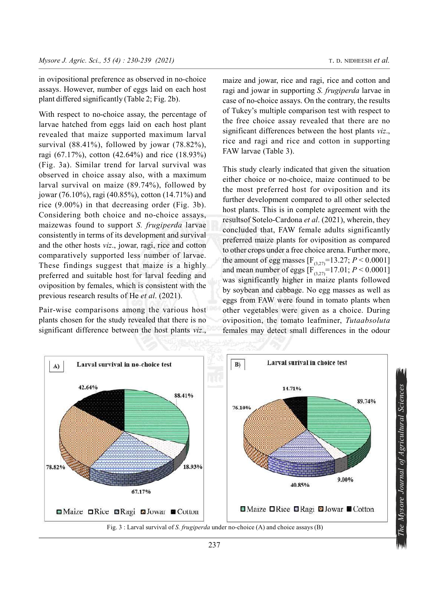in ovipositional preference as observed in no-choice assays. However, number of eggs laid on each host plant differed significantly (Table 2; Fig. 2b).

With respect to no-choice assay, the percentage of larvae hatched from eggs laid on each host plant revealed that maize supported maximum larval survival (88.41%), followed by jowar (78.82%), ragi (67.17%), cotton (42.64%) and rice (18.93%) (Fig. 3a). Similar trend for larval survival was observed in choice assay also, with a maximum larval survival on maize (89.74%), followed by jowar (76.10%), ragi (40.85%), cotton (14.71%) and rice (9.00%) in that decreasing order (Fig. 3b). Considering both choice and no-choice assays, maizewas found to support S. frugiperda larvae consistently in terms of its development and survival and the other hosts viz., jowar, ragi, rice and cotton comparatively supported less number of larvae. These findings suggest that maize is a highly preferred and suitable host for larval feeding and oviposition by females, which is consistent with the previous research results of He et al. (2021).

Pair-wise comparisons among the various host plants chosen for the study revealed that there is no significant difference between the host plants viz.,

maize and jowar, rice and ragi, rice and cotton and ragi and jowar in supporting S. frugiperda larvae in case of no-choice assays. On the contrary, the results of Tukey's multiple comparison test with respect to the free choice assay revealed that there are no significant differences between the host plants *viz*., rice and ragi and rice and cotton in supporting FAW larvae (Table 3).

This study clearly indicated that given the situation either choice or no-choice, maize continued to be the most preferred host for oviposition and its further development compared to all other selected host plants. This is in complete agreement with the resultsof Sotelo-Cardona et al. (2021), wherein, they concluded that, FAW female adults significantly preferred maize plants for oviposition as compared to other crops under a free choice arena. Further more, the amount of egg masses  $[F_{(3,27)}=13.27; P \le 0.0001]$ and mean number of eggs  $[F_{(3,27)}=17.01; P \le 0.0001]$ was significantly higher in maize plants followed by soybean and cabbage. No egg masses as well as eggs from FAW were found in tomato plants when other vegetables were given as a choice. During oviposition, the tomato leafminer, Tutaabsoluta females may detect small differences in the odour

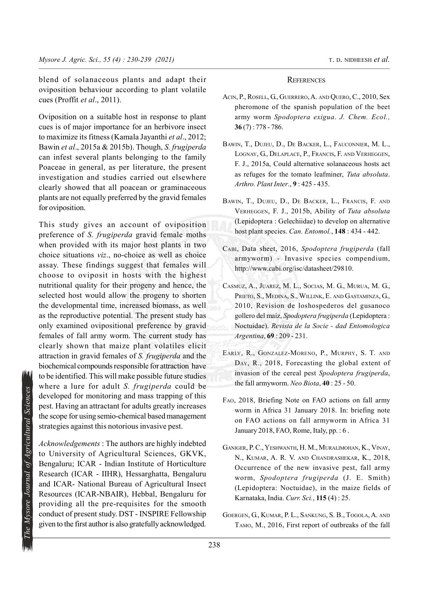blend of solanaceous plants and adapt their oviposition behaviour according to plant volatile cues (Proffit et al., 2011).

Oviposition on a suitable host in response to plant cues is of major importance for an herbivore insect to maximize its fitness (Kamala Jayanthi et al., 2012; Bawin et al., 2015a & 2015b). Though, S. frugiperda can infest several plants belonging to the family Poaceae in general, as per literature, the present investigation and studies carried out elsewhere clearly showed that all poacean or graminaceous plants are not equally preferred by the gravid females for oviposition.

This study gives an account of oviposition preference of S. frugiperda gravid female moths when provided with its major host plants in two choice situations viz., no-choice as well as choice assay. These findings suggest that females will choose to oviposit in hosts with the highest nutritional quality for their progeny and hence, the selected host would allow the progeny to shorten the developmental time, increased biomass, as well as the reproductive potential. The present study has only examined ovipositional preference by gravid females of fall army worm. The current study has clearly shown that maize plant volatiles elicit attraction in gravid females of S. frugiperda and the biochemical compounds responsible for attraction have to be identified. This will make possible future studies where a lure for adult S. frugiperda could be developed for monitoring and mass trapping of this pest. Having an attractant for adults greatly increases the scope for using semio-chemical based management strategies against this notorious invasive pest.

Example 12 The Music of Agricultural Sciences<br>
238 The Scope for using an attractant for adults greatly increases<br>
the scope for using semio-chemical based management<br>
strategies against this notorious invasive pest.<br>
Ack Acknowledgements : The authors are highly indebted to University of Agricultural Sciences, GKVK, Bengaluru; ICAR - Indian Institute of Horticulture Research (ICAR - IIHR), Hessarghatta, Bengaluru and ICAR- National Bureau of Agricultural Insect Resources (ICAR-NBAIR), Hebbal, Bengaluru for providing all the pre-requisites for the smooth conduct of present study. DST - INSPIRE Fellowship given to the first author is also gratefully acknowledged.

#### **REFERENCES**

- ACIN, P., ROSELL, G., GUERRERO, A. AND QUERO, C., 2010, Sex pheromone of the spanish population of the beet army worm Spodoptera exigua. J. Chem. Ecol.,  $36(7): 778 - 786.$
- BAWIN, T., DUJEU, D., DE BACKER, L., FAUCONNIER, M. L., LOGNAY, G., DELAPLACE, P., FRANCIS, F. AND VERHEGGEN, F. J., 2015a, Could alternative solanaceous hosts act as refuges for the tomato leafminer, Tuta absoluta. Arthro. Plant Inter., 9 : 425 - 435.
- BAWIN, T., DUJEU, D., DE BACKER, L., FRANCIS, F. AND VERHEGGEN, F. J., 2015b, Ability of Tuta absoluta (Lepidoptera : Gelechiidae) to develop on alternative host plant species. Can. Entomol., 148: 434 - 442.
- CABI, Data sheet, 2016, Spodoptera frugiperda (fall armyworm) - Invasive species compendium, http://www.cabi.org/isc/datasheet/29810.
- CASMUZ, A., JUAREZ, M. L., SOCIAS, M. G., MURUA, M. G., PRIETO, S., MEDINA, S., WILLINK, E. AND GASTAMINZA, G., 2010, Revision de loshospederos del gusanoco gollero del maíz, Spodoptera frugiperda (Lepidoptera : Noctuidae). Revista de la Socie - dad Entomologica Argentina, 69 : 209 - 231.
- EARLY, R., GONZALEZ-MORENO, P., MURPHY, S. T. AND DAY, R., 2018, Forecasting the global extent of invasion of the cereal pest Spodoptera frugiperda, the fall armyworm. Neo Biota, 40 : 25 - 50.
- FAO, 2018, Briefing Note on FAO actions on fall army worm in Africa 31 January 2018. In: briefing note on FAO actions on fall armyworm in Africa 31 January 2018, FAO, Rome, Italy, pp. : 6.
- GANIGER, P. C., YESHWANTH, H. M., MURALIMOHAN, K., VINAY, N., KUMAR, A. R. V. AND CHANDRASHEKAR, K., 2018, Occurrence of the new invasive pest, fall army worm, Spodoptera frugiperda (J. E. Smith) (Lepidoptera: Noctuidae), in the maize fields of Karnataka, India. Curr. Sci., 115 (4) : 25.
- GOERGEN, G., KUMAR, P. L., SANKUNG, S. B., TOGOLA, A. AND TAMO, M., 2016, First report of outbreaks of the fall